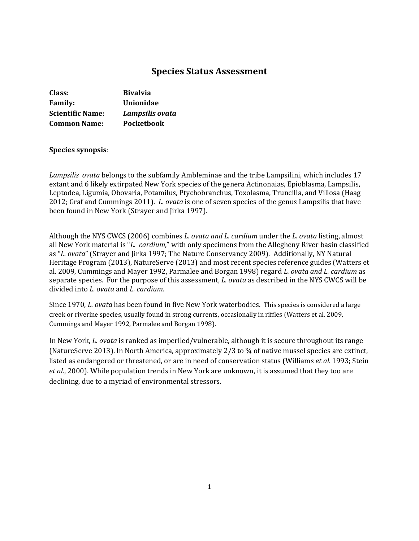# **Species Status Assessment**

| Class:                  | <b>Bivalvia</b>   |
|-------------------------|-------------------|
| <b>Family:</b>          | Unionidae         |
| <b>Scientific Name:</b> | Lampsilis ovata   |
| <b>Common Name:</b>     | <b>Pocketbook</b> |

### **Species synopsis**:

*Lampsilis ovata* belongs to the subfamily Ambleminae and the tribe Lampsilini, which includes 17 extant and 6 likely extirpated New York species of the genera Actinonaias, Epioblasma, Lampsilis, Leptodea, Ligumia, Obovaria, Potamilus, Ptychobranchus, Toxolasma, Truncilla, and Villosa (Haag 2012; Graf and Cummings 2011). *L. ovata* is one of seven species of the genus Lampsilis that have been found in New York (Strayer and Jirka 1997).

Although the NYS CWCS (2006) combines *L. ovata and L. cardium* under the *L. ovata* listing, almost all New York material is "*L. cardium*," with only specimens from the Allegheny River basin classified as "*L. ovata*" (Strayer and Jirka 1997; The Nature Conservancy 2009). Additionally, NY Natural Heritage Program (2013), NatureServe (2013) and most recent species reference guides (Watters et al. 2009, Cummings and Mayer 1992, Parmalee and Borgan 1998) regard *L. ovata and L. cardium* as separate species. For the purpose of this assessment, *L. ovata* as described in the NYS CWCS will be divided into *L. ovata* and *L. cardium*.

Since 1970, *L. ovata* has been found in five New York waterbodies. This species is considered a large creek or riverine species, usually found in strong currents, occasionally in riffles (Watters et al. 2009, Cummings and Mayer 1992, Parmalee and Borgan 1998).

In New York, *L. ovata* is ranked as imperiled/vulnerable, although it is secure throughout its range (NatureServe 2013). In North America, approximately 2/3 to ¾ of native mussel species are extinct, listed as endangered or threatened, or are in need of conservation status (Williams *et al.* 1993; Stein *et al*., 2000). While population trends in New York are unknown, it is assumed that they too are declining, due to a myriad of environmental stressors.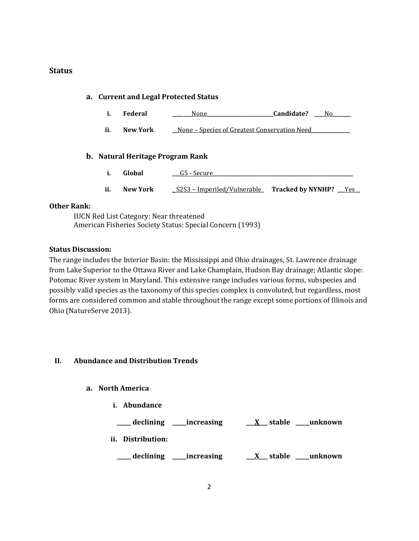### **Status**

| a. Current and Legal Protected Status   |                |                                              |                                                          |  |  |  |
|-----------------------------------------|----------------|----------------------------------------------|----------------------------------------------------------|--|--|--|
| i.                                      | <b>Federal</b> | None                                         | Candidate?<br>No.                                        |  |  |  |
| ii.                                     | New York       | None - Species of Greatest Conservation Need |                                                          |  |  |  |
| <b>b.</b> Natural Heritage Program Rank |                |                                              |                                                          |  |  |  |
| i.                                      | Global         | G5 - Secure                                  |                                                          |  |  |  |
| ii.                                     | New York       |                                              | S2S3 – Imperiled/Vulnerable Tracked by NYNHP? <u>Yes</u> |  |  |  |

### **Other Rank:**

IUCN Red List Category: Near threatened American Fisheries Society Status: Special Concern (1993)

### **Status Discussion:**

The range includes the Interior Basin: the Mississippi and Ohio drainages, St. Lawrence drainage from Lake Superior to the Ottawa River and Lake Champlain, Hudson Bay drainage; Atlantic slope: Potomac River system in Maryland. This extensive range includes various forms, subspecies and possibly valid species as the taxonomy of this species complex is convoluted, but regardless, most forms are considered common and stable throughout the range except some portions of Illinois and Ohio (NatureServe 2013).

## **II. Abundance and Distribution Trends**

### **a. North America**

**i. Abundance**



**\_\_\_\_\_ declining \_\_\_\_\_increasing \_\_\_X\_\_\_ stable \_\_\_\_\_unknown**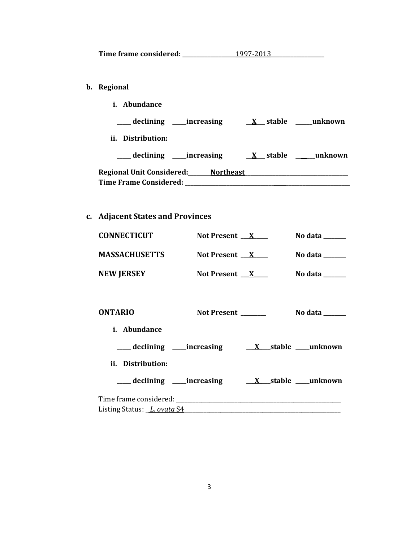| Time frame considered: | 1997-2013 |
|------------------------|-----------|
|------------------------|-----------|

- **b. Regional** 
	- **i. Abundance**

**\_\_\_\_\_ declining \_\_\_\_\_increasing \_\_X\_\_\_ stable \_\_\_\_\_\_unknown ii. Distribution: \_\_\_\_\_ declining \_\_\_\_\_increasing \_\_X\_\_\_ stable \_\_\_\_\_\_\_unknown Regional Unit Considered:\_\_\_\_\_\_\_\_Northeast\_\_\_\_\_\_\_\_\_\_\_\_\_\_\_\_\_\_\_\_\_\_\_\_\_\_\_\_\_\_\_\_\_\_\_\_\_ Time Frame Considered: \_\_\_\_\_\_\_\_\_\_\_\_\_\_\_\_\_\_\_\_\_\_\_\_\_\_\_\_\_\_\_\_ \_\_\_\_\_\_\_\_\_\_\_\_\_\_\_\_\_\_\_\_\_\_\_**

**c. Adjacent States and Provinces**

| <b>CONNECTICUT</b>                 | Not Present $X$ |                     | No data $\_\_\_\_\_\_\_\_\_\_\_\$          |
|------------------------------------|-----------------|---------------------|--------------------------------------------|
| <b>MASSACHUSETTS</b>               | Not Present $X$ |                     | No data $\_\_\_\_\_\_\_\_\_\_\_\_\_\_\_\_$ |
| <b>NEW JERSEY</b>                  | Not Present $X$ |                     | No data $\_\_$                             |
| <b>ONTARIO</b>                     |                 | Not Present _______ | No data ______                             |
|                                    |                 |                     |                                            |
| i. Abundance                       |                 |                     |                                            |
|                                    |                 |                     |                                            |
| ii. Distribution:                  |                 |                     |                                            |
|                                    |                 |                     |                                            |
|                                    |                 |                     |                                            |
| Listing Status: <i>L. ovata</i> S4 |                 |                     |                                            |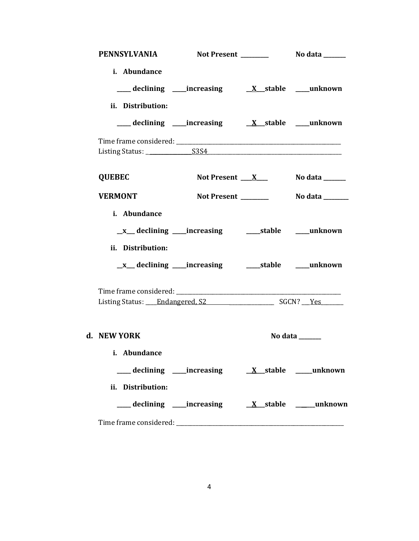| PENNSYLVANIA Not Present ________ No data _____ |                                                             |                                     |
|-------------------------------------------------|-------------------------------------------------------------|-------------------------------------|
| i. Abundance<br>ii. Distribution:               |                                                             |                                     |
|                                                 | ___declining ___increasing ___ <u>X__</u> stable ___unknown |                                     |
|                                                 |                                                             |                                     |
| <b>QUEBEC</b>                                   | Not Present __ <u>__X</u> ___                               | No data $\_\_$                      |
| <b>VERMONT</b>                                  | Not Present _______                                         | No data _______                     |
| i. Abundance<br>ii. Distribution:               |                                                             |                                     |
|                                                 |                                                             |                                     |
| d. NEW YORK<br>i. Abundance                     |                                                             | No data $\_\_\_\_\_\_\_\_\_\_\_\_\$ |
| ii. Distribution:                               |                                                             |                                     |
|                                                 |                                                             |                                     |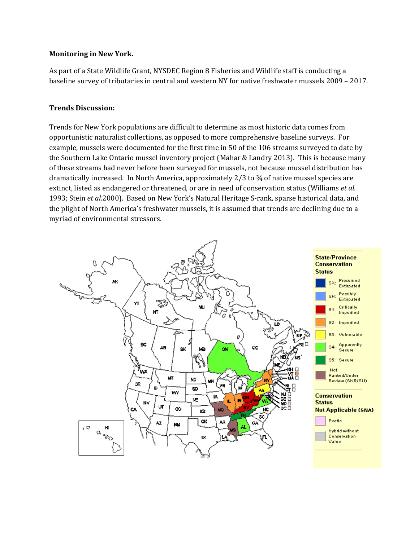### **Monitoring in New York.**

As part of a State Wildlife Grant, NYSDEC Region 8 Fisheries and Wildlife staff is conducting a baseline survey of tributaries in central and western NY for native freshwater mussels 2009 – 2017.

### **Trends Discussion:**

Trends for New York populations are difficult to determine as most historic data comes from opportunistic naturalist collections, as opposed to more comprehensive baseline surveys. For example, mussels were documented for the first time in 50 of the 106 streams surveyed to date by the Southern Lake Ontario mussel inventory project (Mahar & Landry 2013). This is because many of these streams had never before been surveyed for mussels, not because mussel distribution has dramatically increased. In North America, approximately 2/3 to ¾ of native mussel species are extinct, listed as endangered or threatened, or are in need of conservation status (Williams *et al.*  1993; Stein *et al.*2000). Based on New York's Natural Heritage S-rank, sparse historical data, and the plight of North America's freshwater mussels, it is assumed that trends are declining due to a myriad of environmental stressors.

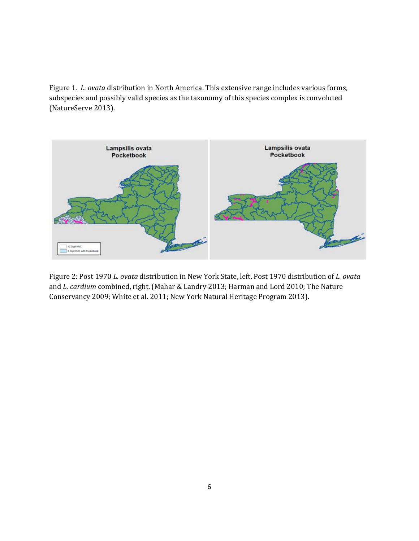Figure 1. *L. ovata* distribution in North America. This extensive range includes various forms, subspecies and possibly valid species as the taxonomy of this species complex is convoluted (NatureServe 2013).



Figure 2: Post 1970 *L. ovata* distribution in New York State, left. Post 1970 distribution of *L. ovata* and *L. cardium* combined, right. (Mahar & Landry 2013; Harman and Lord 2010; The Nature Conservancy 2009; White et al. 2011; New York Natural Heritage Program 2013).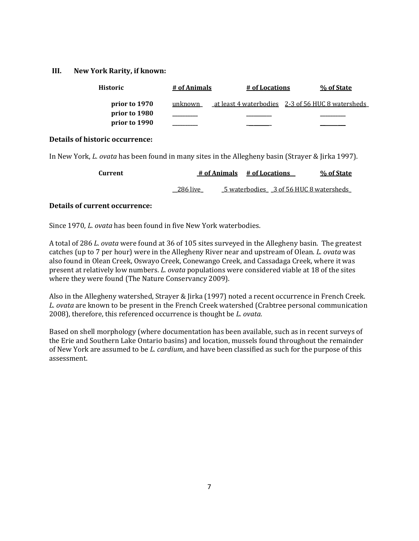### **III. New York Rarity, if known:**

| <b>Historic</b> | # of Animals | # of Locations | % of State                                        |
|-----------------|--------------|----------------|---------------------------------------------------|
| prior to 1970   | unknown      |                | at least 4 waterbodies 2-3 of 56 HUC 8 watersheds |
| prior to 1980   |              |                |                                                   |
| prior to 1990   |              |                |                                                   |

### **Details of historic occurrence:**

In New York, *L. ovata* has been found in many sites in the Allegheny basin (Strayer & Jirka 1997).

| Current |          | # of Animals # of Locations |  | % of State                             |
|---------|----------|-----------------------------|--|----------------------------------------|
|         | 286 live |                             |  | 5 waterbodies 3 of 56 HUC 8 watersheds |

### **Details of current occurrence:**

Since 1970, *L. ovata* has been found in five New York waterbodies.

A total of 286 *L. ovata* were found at 36 of 105 sites surveyed in the Allegheny basin. The greatest catches (up to 7 per hour) were in the Allegheny River near and upstream of Olean. *L. ovata* was also found in Olean Creek, Oswayo Creek, Conewango Creek, and Cassadaga Creek, where it was present at relatively low numbers. *L. ovata* populations were considered viable at 18 of the sites where they were found (The Nature Conservancy 2009).

Also in the Allegheny watershed, Strayer & Jirka (1997) noted a recent occurrence in French Creek. *L. ovata* are known to be present in the French Creek watershed (Crabtree personal communication 2008), therefore, this referenced occurrence is thought be *L. ovata.* 

Based on shell morphology (where documentation has been available, such as in recent surveys of the Erie and Southern Lake Ontario basins) and location, mussels found throughout the remainder of New York are assumed to be *L. cardium*, and have been classified as such for the purpose of this assessment.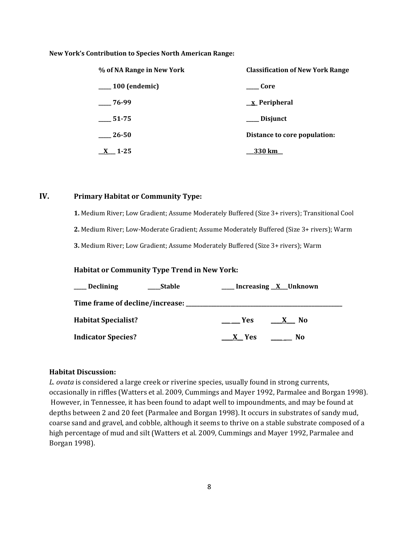#### **New York's Contribution to Species North American Range:**

| % of NA Range in New York | <b>Classification of New York Range</b> |
|---------------------------|-----------------------------------------|
| $\frac{100}{2}$ (endemic) | Core                                    |
| 76-99                     | $\underline{x}$ Peripheral              |
| 51-75                     | Disjunct                                |
| 26-50                     | Distance to core population:            |
| $X = 1-25$                | 330 km                                  |

### **IV. Primary Habitat or Community Type:**

**1.** Medium River; Low Gradient; Assume Moderately Buffered (Size 3+ rivers); Transitional Cool

**2.** Medium River; Low-Moderate Gradient; Assume Moderately Buffered (Size 3+ rivers); Warm

**3.** Medium River; Low Gradient; Assume Moderately Buffered (Size 3+ rivers); Warm

### **Habitat or Community Type Trend in New York:**

| <u>__</u> Declining<br><b>Stable</b> | __ Increasing <u>X</u> _Unknown              |  |
|--------------------------------------|----------------------------------------------|--|
|                                      |                                              |  |
| <b>Habitat Specialist?</b>           | <b>Yes</b><br>$\mathbf{X}$<br>N <sub>0</sub> |  |
| <b>Indicator Species?</b>            | X Yes<br>No.                                 |  |

### **Habitat Discussion:**

*L. ovata* is considered a large creek or riverine species, usually found in strong currents, occasionally in riffles (Watters et al. 2009, Cummings and Mayer 1992, Parmalee and Borgan 1998). However, in Tennessee, it has been found to adapt well to impoundments, and may be found at depths between 2 and 20 feet (Parmalee and Borgan 1998). It occurs in substrates of sandy mud, coarse sand and gravel, and cobble, although it seems to thrive on a stable substrate composed of a high percentage of mud and silt (Watters et al. 2009, Cummings and Mayer 1992, Parmalee and Borgan 1998).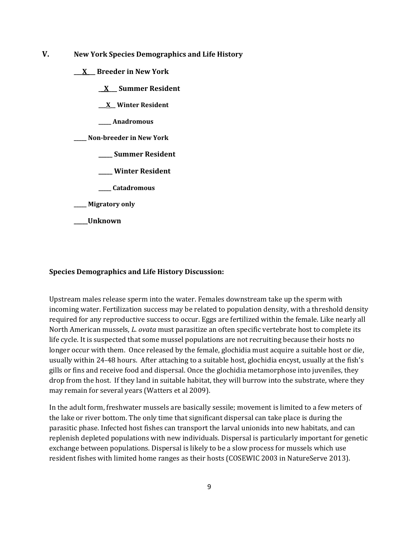- **V. New York Species Demographics and Life History**
	- **\_\_\_X\_\_\_ Breeder in New York**
		- **\_\_X\_\_\_ Summer Resident**
		- **\_\_\_X\_\_ Winter Resident**
		- **\_\_\_\_\_ Anadromous**
	- **\_\_\_\_\_ Non-breeder in New York**
		- **\_\_\_\_\_ Summer Resident**
		- **\_\_\_\_\_ Winter Resident**
		- **\_\_\_\_\_ Catadromous**
	- **\_\_\_\_\_ Migratory only**
	- **\_\_\_\_\_Unknown**

#### **Species Demographics and Life History Discussion:**

Upstream males release sperm into the water. Females downstream take up the sperm with incoming water. Fertilization success may be related to population density, with a threshold density required for any reproductive success to occur. Eggs are fertilized within the female. Like nearly all North American mussels, *L. ovata* must parasitize an often specific vertebrate host to complete its life cycle. It is suspected that some mussel populations are not recruiting because their hosts no longer occur with them. Once released by the female, glochidia must acquire a suitable host or die, usually within 24-48 hours. After attaching to a suitable host, glochidia encyst, usually at the fish's gills or fins and receive food and dispersal. Once the glochidia metamorphose into juveniles, they drop from the host. If they land in suitable habitat, they will burrow into the substrate, where they may remain for several years (Watters et al 2009).

In the adult form, freshwater mussels are basically sessile; movement is limited to a few meters of the lake or river bottom. The only time that significant dispersal can take place is during the parasitic phase. Infected host fishes can transport the larval unionids into new habitats, and can replenish depleted populations with new individuals. Dispersal is particularly important for genetic exchange between populations. Dispersal is likely to be a slow process for mussels which use resident fishes with limited home ranges as their hosts (COSEWIC 2003 in NatureServe 2013).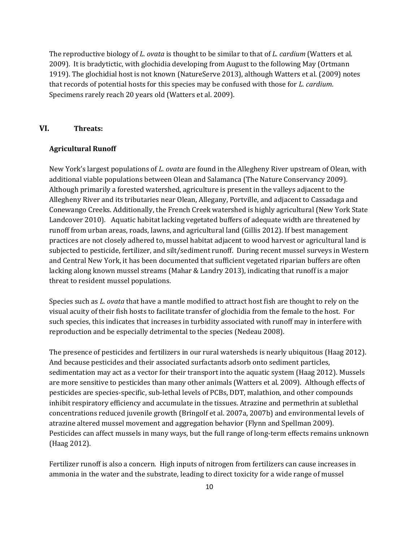The reproductive biology of *L. ovata* is thought to be similar to that of *L. cardium* (Watters et al. 2009). It is bradytictic, with glochidia developing from August to the following May (Ortmann 1919). The glochidial host is not known (NatureServe 2013), although Watters et al. (2009) notes that records of potential hosts for this species may be confused with those for *L. cardium*. Specimens rarely reach 20 years old (Watters et al. 2009).

### **VI. Threats:**

#### **Agricultural Runoff**

New York's largest populations of *L. ovata* are found in the Allegheny River upstream of Olean, with additional viable populations between Olean and Salamanca (The Nature Conservancy 2009). Although primarily a forested watershed, agriculture is present in the valleys adjacent to the Allegheny River and its tributaries near Olean, Allegany, Portville, and adjacent to Cassadaga and Conewango Creeks. Additionally, the French Creek watershed is highly agricultural (New York State Landcover 2010). Aquatic habitat lacking vegetated buffers of adequate width are threatened by runoff from urban areas, roads, lawns, and agricultural land (Gillis 2012). If best management practices are not closely adhered to, mussel habitat adjacent to wood harvest or agricultural land is subjected to pesticide, fertilizer, and silt/sediment runoff. During recent mussel surveys in Western and Central New York, it has been documented that sufficient vegetated riparian buffers are often lacking along known mussel streams (Mahar & Landry 2013), indicating that runoff is a major threat to resident mussel populations.

Species such as *L. ovata* that have a mantle modified to attract host fish are thought to rely on the visual acuity of their fish hosts to facilitate transfer of glochidia from the female to the host. For such species, this indicates that increases in turbidity associated with runoff may in interfere with reproduction and be especially detrimental to the species (Nedeau 2008).

The presence of pesticides and fertilizers in our rural watersheds is nearly ubiquitous (Haag 2012). And because pesticides and their associated surfactants adsorb onto sediment particles, sedimentation may act as a vector for their transport into the aquatic system (Haag 2012). Mussels are more sensitive to pesticides than many other animals (Watters et al. 2009). Although effects of pesticides are species-specific, sub-lethal levels of PCBs, DDT, malathion, and other compounds inhibit respiratory efficiency and accumulate in the tissues. Atrazine and permethrin at sublethal concentrations reduced juvenile growth (Bringolf et al. 2007a, 2007b) and environmental levels of atrazine altered mussel movement and aggregation behavior (Flynn and Spellman 2009). Pesticides can affect mussels in many ways, but the full range of long-term effects remains unknown (Haag 2012).

Fertilizer runoff is also a concern. High inputs of nitrogen from fertilizers can cause increases in ammonia in the water and the substrate, leading to direct toxicity for a wide range of mussel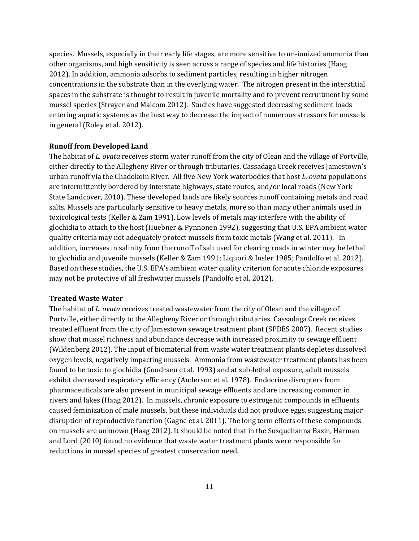species. Mussels, especially in their early life stages, are more sensitive to un-ionized ammonia than other organisms, and high sensitivity is seen across a range of species and life histories (Haag 2012). In addition, ammonia adsorbs to sediment particles, resulting in higher nitrogen concentrations in the substrate than in the overlying water. The nitrogen present in the interstitial spaces in the substrate is thought to result in juvenile mortality and to prevent recruitment by some mussel species (Strayer and Malcom 2012). Studies have suggested decreasing sediment loads entering aquatic systems as the best way to decrease the impact of numerous stressors for mussels in general (Roley et al. 2012).

#### **Runoff from Developed Land**

The habitat of *L. ovata* receives storm water runoff from the city of Olean and the village of Portville, either directly to the Allegheny River or through tributaries. Cassadaga Creek receives Jamestown's urban runoff via the Chadokoin River. All five New York waterbodies that host *L. ovata* populations are intermittently bordered by interstate highways, state routes, and/or local roads (New York State Landcover, 2010). These developed lands are likely sources runoff containing metals and road salts. Mussels are particularly sensitive to heavy metals, more so than many other animals used in toxicological tests (Keller & Zam 1991). Low levels of metals may interfere with the ability of glochidia to attach to the host (Huebner & Pynnonen 1992), suggesting that U.S. EPA ambient water quality criteria may not adequately protect mussels from toxic metals (Wang et al. 2011). In addition, increases in salinity from the runoff of salt used for clearing roads in winter may be lethal to glochidia and juvenile mussels (Keller & Zam 1991; Liquori & Insler 1985; Pandolfo et al. 2012). Based on these studies, the U.S. EPA's ambient water quality criterion for acute chloride exposures may not be protective of all freshwater mussels (Pandolfo et al. 2012).

#### **Treated Waste Water**

The habitat of *L. ovata* receives treated wastewater from the city of Olean and the village of Portville, either directly to the Allegheny River or through tributaries. Cassadaga Creek receives treated effluent from the city of Jamestown sewage treatment plant (SPDES 2007). Recent studies show that mussel richness and abundance decrease with increased proximity to sewage effluent (Wildenberg 2012). The input of biomaterial from waste water treatment plants depletes dissolved oxygen levels, negatively impacting mussels. Ammonia from wastewater treatment plants has been found to be toxic to glochidia (Goudraeu et al. 1993) and at sub-lethal exposure, adult mussels exhibit decreased respiratory efficiency (Anderson et al*.* 1978). Endocrine disrupters from pharmaceuticals are also present in municipal sewage effluents and are increasing common in rivers and lakes (Haag 2012). In mussels, chronic exposure to estrogenic compounds in effluents caused feminization of male mussels, but these individuals did not produce eggs, suggesting major disruption of reproductive function (Gagne et al. 2011). The long term effects of these compounds on mussels are unknown (Haag 2012). It should be noted that in the Susquehanna Basin, Harman and Lord (2010) found no evidence that waste water treatment plants were responsible for reductions in mussel species of greatest conservation need.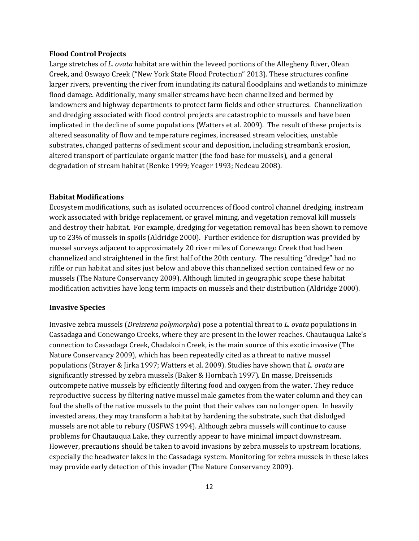#### **Flood Control Projects**

Large stretches of *L. ovata* habitat are within the leveed portions of the Allegheny River, Olean Creek, and Oswayo Creek ("New York State Flood Protection" 2013). These structures confine larger rivers, preventing the river from inundating its natural floodplains and wetlands to minimize flood damage. Additionally, many smaller streams have been channelized and bermed by landowners and highway departments to protect farm fields and other structures. Channelization and dredging associated with flood control projects are catastrophic to mussels and have been implicated in the decline of some populations (Watters et al. 2009). The result of these projects is altered seasonality of flow and temperature regimes, increased stream velocities, unstable substrates, changed patterns of sediment scour and deposition, including streambank erosion, altered transport of particulate organic matter (the food base for mussels), and a general degradation of stream habitat (Benke 1999; Yeager 1993; Nedeau 2008).

#### **Habitat Modifications**

Ecosystem modifications, such as isolated occurrences of flood control channel dredging, instream work associated with bridge replacement, or gravel mining, and vegetation removal kill mussels and destroy their habitat. For example, dredging for vegetation removal has been shown to remove up to 23% of mussels in spoils (Aldridge 2000). Further evidence for disruption was provided by mussel surveys adjacent to approximately 20 river miles of Conewango Creek that had been channelized and straightened in the first half of the 20th century. The resulting "dredge" had no riffle or run habitat and sites just below and above this channelized section contained few or no mussels (The Nature Conservancy 2009). Although limited in geographic scope these habitat modification activities have long term impacts on mussels and their distribution (Aldridge 2000).

#### **Invasive Species**

Invasive zebra mussels (*Dreissena polymorpha*) pose a potential threat to *L. ovata* populations in Cassadaga and Conewango Creeks, where they are present in the lower reaches. Chautauqua Lake's connection to Cassadaga Creek, Chadakoin Creek, is the main source of this exotic invasive (The Nature Conservancy 2009), which has been repeatedly cited as a threat to native mussel populations (Strayer & Jirka 1997; Watters et al. 2009). Studies have shown that *L. ovata* are significantly stressed by zebra mussels (Baker & Hornbach 1997). En masse, Dreissenids outcompete native mussels by efficiently filtering food and oxygen from the water. They reduce reproductive success by filtering native mussel male gametes from the water column and they can foul the shells of the native mussels to the point that their valves can no longer open. In heavily invested areas, they may transform a habitat by hardening the substrate, such that dislodged mussels are not able to rebury (USFWS 1994). Although zebra mussels will continue to cause problems for Chautauqua Lake, they currently appear to have minimal impact downstream. However, precautions should be taken to avoid invasions by zebra mussels to upstream locations, especially the headwater lakes in the Cassadaga system. Monitoring for zebra mussels in these lakes may provide early detection of this invader (The Nature Conservancy 2009).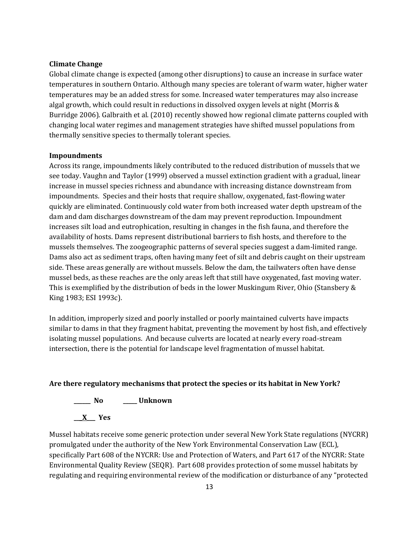#### **Climate Change**

Global climate change is expected (among other disruptions) to cause an increase in surface water temperatures in southern Ontario. Although many species are tolerant of warm water, higher water temperatures may be an added stress for some. Increased water temperatures may also increase algal growth, which could result in reductions in dissolved oxygen levels at night (Morris & Burridge 2006). Galbraith et al. (2010) recently showed how regional climate patterns coupled with changing local water regimes and management strategies have shifted mussel populations from thermally sensitive species to thermally tolerant species.

#### **Impoundments**

Across its range, impoundments likely contributed to the reduced distribution of mussels that we see today. Vaughn and Taylor (1999) observed a mussel extinction gradient with a gradual, linear increase in mussel species richness and abundance with increasing distance downstream from impoundments. Species and their hosts that require shallow, oxygenated, fast-flowing water quickly are eliminated. Continuously cold water from both increased water depth upstream of the dam and dam discharges downstream of the dam may prevent reproduction. Impoundment increases silt load and eutrophication, resulting in changes in the fish fauna, and therefore the availability of hosts. Dams represent distributional barriers to fish hosts, and therefore to the mussels themselves. The zoogeographic patterns of several species suggest a dam-limited range. Dams also act as sediment traps, often having many feet of silt and debris caught on their upstream side. These areas generally are without mussels. Below the dam, the tailwaters often have dense mussel beds, as these reaches are the only areas left that still have oxygenated, fast moving water. This is exemplified by the distribution of beds in the lower Muskingum River, Ohio (Stansbery & King 1983; ESI 1993c).

In addition, improperly sized and poorly installed or poorly maintained culverts have impacts similar to dams in that they fragment habitat, preventing the movement by host fish, and effectively isolating mussel populations. And because culverts are located at nearly every road-stream intersection, there is the potential for landscape level fragmentation of mussel habitat.

#### **Are there regulatory mechanisms that protect the species or its habitat in New York?**

## **\_\_\_\_\_\_ No \_\_\_\_\_ Unknown**

**\_\_\_X\_\_\_ Yes**

Mussel habitats receive some generic protection under several New York State regulations (NYCRR) promulgated under the authority of the New York Environmental Conservation Law (ECL), specifically Part 608 of the NYCRR: Use and Protection of Waters, and Part 617 of the NYCRR: State Environmental Quality Review (SEQR). Part 608 provides protection of some mussel habitats by regulating and requiring environmental review of the modification or disturbance of any "protected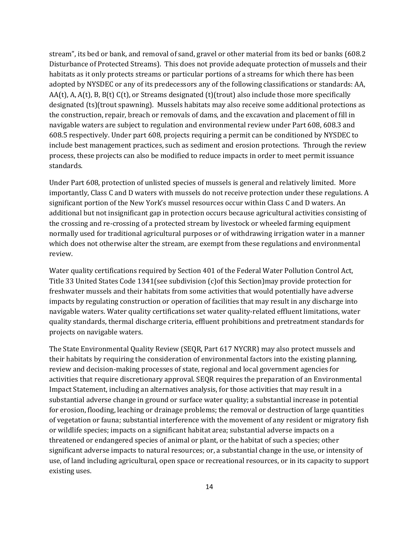stream", its bed or bank, and removal of sand, gravel or other material from its bed or banks (608.2 Disturbance of Protected Streams). This does not provide adequate protection of mussels and their habitats as it only protects streams or particular portions of a streams for which there has been adopted by NYSDEC or any of its predecessors any of the following classifications or standards: AA,  $AA(t)$ , A,  $A(t)$ , B,  $B(t)$  C(t), or Streams designated (t)(trout) also include those more specifically designated (ts)(trout spawning). Mussels habitats may also receive some additional protections as the construction, repair, breach or removals of dams, and the excavation and placement of fill in navigable waters are subject to regulation and environmental review under Part 608, 608.3 and 608.5 respectively. Under part 608, projects requiring a permit can be conditioned by NYSDEC to include best management practices, such as sediment and erosion protections. Through the review process, these projects can also be modified to reduce impacts in order to meet permit issuance standards.

Under Part 608, protection of unlisted species of mussels is general and relatively limited. More importantly, Class C and D waters with mussels do not receive protection under these regulations. A significant portion of the New York's mussel resources occur within Class C and D waters. An additional but not insignificant gap in protection occurs because agricultural activities consisting of the crossing and re-crossing of a protected stream by livestock or wheeled farming equipment normally used for traditional agricultural purposes or of withdrawing irrigation water in a manner which does not otherwise alter the stream, are exempt from these regulations and environmental review.

Water quality certifications required by Section 401 of the Federal Water Pollution Control Act, Title 33 United States Code 1341(see subdivision (c)of this Section)may provide protection for freshwater mussels and their habitats from some activities that would potentially have adverse impacts by regulating construction or operation of facilities that may result in any discharge into navigable waters. Water quality certifications set water quality-related effluent limitations, water quality standards, thermal discharge criteria, effluent prohibitions and pretreatment standards for projects on navigable waters.

The State Environmental Quality Review (SEQR, Part 617 NYCRR) may also protect mussels and their habitats by requiring the consideration of environmental factors into the existing planning, review and decision-making processes of state, regional and local government agencies for activities that require discretionary approval. SEQR requires the preparation of an Environmental Impact Statement, including an alternatives analysis, for those activities that may result in a substantial adverse change in ground or surface water quality; a substantial increase in potential for erosion, flooding, leaching or drainage problems; the removal or destruction of large quantities of vegetation or fauna; substantial interference with the movement of any resident or migratory fish or wildlife species; impacts on a significant habitat area; substantial adverse impacts on a threatened or endangered species of animal or plant, or the habitat of such a species; other significant adverse impacts to natural resources; or, a substantial change in the use, or intensity of use, of land including agricultural, open space or recreational resources, or in its capacity to support existing uses.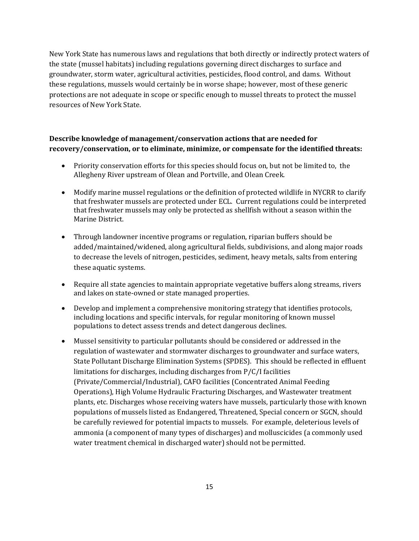New York State has numerous laws and regulations that both directly or indirectly protect waters of the state (mussel habitats) including regulations governing direct discharges to surface and groundwater, storm water, agricultural activities, pesticides, flood control, and dams. Without these regulations, mussels would certainly be in worse shape; however, most of these generic protections are not adequate in scope or specific enough to mussel threats to protect the mussel resources of New York State.

## **Describe knowledge of management/conservation actions that are needed for recovery/conservation, or to eliminate, minimize, or compensate for the identified threats:**

- Priority conservation efforts for this species should focus on, but not be limited to, the Allegheny River upstream of Olean and Portville, and Olean Creek.
- Modify marine mussel regulations or the definition of protected wildlife in NYCRR to clarify that freshwater mussels are protected under ECL. Current regulations could be interpreted that freshwater mussels may only be protected as shellfish without a season within the Marine District.
- Through landowner incentive programs or regulation, riparian buffers should be added/maintained/widened, along agricultural fields, subdivisions, and along major roads to decrease the levels of nitrogen, pesticides, sediment, heavy metals, salts from entering these aquatic systems.
- Require all state agencies to maintain appropriate vegetative buffers along streams, rivers and lakes on state-owned or state managed properties.
- Develop and implement a comprehensive monitoring strategy that identifies protocols, including locations and specific intervals, for regular monitoring of known mussel populations to detect assess trends and detect dangerous declines.
- Mussel sensitivity to particular pollutants should be considered or addressed in the regulation of wastewater and stormwater discharges to groundwater and surface waters, State Pollutant Discharge Elimination Systems (SPDES). This should be reflected in effluent limitations for discharges, including discharges from P/C/I facilities (Private/Commercial/Industrial), CAFO facilities (Concentrated Animal Feeding Operations), High Volume Hydraulic Fracturing Discharges, and Wastewater treatment plants, etc. Discharges whose receiving waters have mussels, particularly those with known populations of mussels listed as Endangered, Threatened, Special concern or SGCN, should be carefully reviewed for potential impacts to mussels. For example, deleterious levels of ammonia (a component of many types of discharges) and molluscicides (a commonly used water treatment chemical in discharged water) should not be permitted.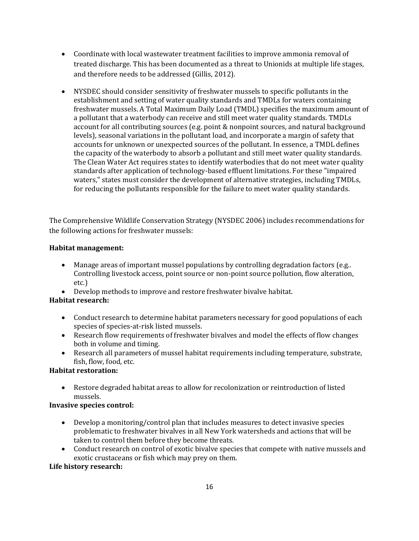- Coordinate with local wastewater treatment facilities to improve ammonia removal of treated discharge. This has been documented as a threat to Unionids at multiple life stages, and therefore needs to be addressed (Gillis, 2012).
- NYSDEC should consider sensitivity of freshwater mussels to specific pollutants in the establishment and setting of water quality standards and TMDLs for waters containing freshwater mussels. A Total Maximum Daily Load (TMDL) specifies the maximum amount of a pollutant that a waterbody can receive and still meet water quality standards. TMDLs account for all contributing sources (e.g. point & nonpoint sources, and natural background levels), seasonal variations in the pollutant load, and incorporate a margin of safety that accounts for unknown or unexpected sources of the pollutant. In essence, a TMDL defines the capacity of the waterbody to absorb a pollutant and still meet water quality standards. The Clean Water Act requires states to identify waterbodies that do not meet water quality standards after application of technology-based effluent limitations. For these "impaired waters," states must consider the development of alternative strategies, including TMDLs, for reducing the pollutants responsible for the failure to meet water quality standards.

The Comprehensive Wildlife Conservation Strategy (NYSDEC 2006) includes recommendations for the following actions for freshwater mussels:

## **Habitat management:**

- Manage areas of important mussel populations by controlling degradation factors (e.g..) Controlling livestock access, point source or non-point source pollution, flow alteration, etc.)
- Develop methods to improve and restore freshwater bivalve habitat.

## **Habitat research:**

- Conduct research to determine habitat parameters necessary for good populations of each species of species-at-risk listed mussels.
- Research flow requirements of freshwater bivalves and model the effects of flow changes both in volume and timing.
- Research all parameters of mussel habitat requirements including temperature, substrate, fish, flow, food, etc.

## **Habitat restoration:**

• Restore degraded habitat areas to allow for recolonization or reintroduction of listed mussels.

### **Invasive species control:**

- Develop a monitoring/control plan that includes measures to detect invasive species problematic to freshwater bivalves in all New York watersheds and actions that will be taken to control them before they become threats.
- Conduct research on control of exotic bivalve species that compete with native mussels and exotic crustaceans or fish which may prey on them.

### **Life history research:**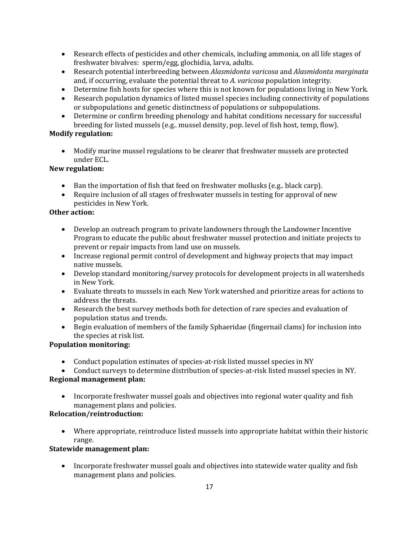- Research effects of pesticides and other chemicals, including ammonia, on all life stages of freshwater bivalves: sperm/egg, glochidia, larva, adults.
- Research potential interbreeding between *Alasmidonta varicosa* and *Alasmidonta marginata*  and, if occurring, evaluate the potential threat to *A. varicosa* population integrity.
- Determine fish hosts for species where this is not known for populations living in New York.
- Research population dynamics of listed mussel species including connectivity of populations or subpopulations and genetic distinctness of populations or subpopulations.
- Determine or confirm breeding phenology and habitat conditions necessary for successful breeding for listed mussels (e.g.. mussel density, pop. level of fish host, temp, flow).

## **Modify regulation:**

• Modify marine mussel regulations to be clearer that freshwater mussels are protected under ECL.

## **New regulation:**

- Ban the importation of fish that feed on freshwater mollusks (e.g., black carp).
- Require inclusion of all stages of freshwater mussels in testing for approval of new pesticides in New York*.*

## **Other action:**

- Develop an outreach program to private landowners through the Landowner Incentive Program to educate the public about freshwater mussel protection and initiate projects to prevent or repair impacts from land use on mussels.
- Increase regional permit control of development and highway projects that may impact native mussels.
- Develop standard monitoring/survey protocols for development projects in all watersheds in New York.
- Evaluate threats to mussels in each New York watershed and prioritize areas for actions to address the threats.
- Research the best survey methods both for detection of rare species and evaluation of population status and trends.
- Begin evaluation of members of the family Sphaeridae (fingernail clams) for inclusion into the species at risk list.

## **Population monitoring:**

- Conduct population estimates of species-at-risk listed mussel species in NY
- Conduct surveys to determine distribution of species-at-risk listed mussel species in NY.

## **Regional management plan:**

• Incorporate freshwater mussel goals and objectives into regional water quality and fish management plans and policies.

## **Relocation/reintroduction:**

• Where appropriate, reintroduce listed mussels into appropriate habitat within their historic range.

## **Statewide management plan:**

• Incorporate freshwater mussel goals and objectives into statewide water quality and fish management plans and policies.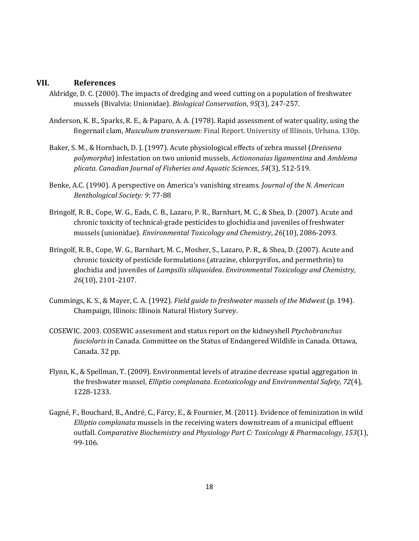### **VII. References**

- Aldridge, D. C. (2000). The impacts of dredging and weed cutting on a population of freshwater mussels (Bivalvia: Unionidae). *Biological Conservation*, *95*(3), 247-257.
- Anderson, K. B., Sparks, R. E., & Paparo, A. A. (1978). Rapid assessment of water quality, using the fingernail clam, *Musculium transversum*: Final Report. University of Illinois, Urbana. 130p.
- Baker, S. M., & Hornbach, D. J. (1997). Acute physiological effects of zebra mussel (*Dreissena polymorpha*) infestation on two unionid mussels, *Actiononaias ligamentina* and *Amblema plicata*. *Canadian Journal of Fisheries and Aquatic Sciences*, *54*(3), 512-519.
- Benke, A.C. (1990). A perspective on America's vanishing streams. *Journal of the N. American Benthological Society: 9*: 77-88
- Bringolf, R. B., Cope, W. G., Eads, C. B., Lazaro, P. R., Barnhart, M. C., & Shea, D. (2007). Acute and chronic toxicity of technical‐grade pesticides to glochidia and juveniles of freshwater mussels (unionidae). *Environmental Toxicology and Chemistry*, *26*(10), 2086-2093.
- Bringolf, R. B., Cope, W. G., Barnhart, M. C., Mosher, S., Lazaro, P. R., & Shea, D. (2007). Acute and chronic toxicity of pesticide formulations (atrazine, chlorpyrifos, and permethrin) to glochidia and juveniles of *Lampsilis siliquoidea*. *Environmental Toxicology and Chemistry*, *26*(10), 2101-2107.
- Cummings, K. S., & Mayer, C. A. (1992). *Field guide to freshwater mussels of the Midwest* (p. 194). Champaign, Illinois: Illinois Natural History Survey.
- COSEWIC. 2003. COSEWIC assessment and status report on the kidneyshell *Ptychobranchus fasciolaris* in Canada. Committee on the Status of Endangered Wildlife in Canada. Ottawa, Canada. 32 pp.
- Flynn, K., & Spellman, T. (2009). Environmental levels of atrazine decrease spatial aggregation in the freshwater mussel, *Elliptio complanata*. *Ecotoxicology and Environmental Safety*, *72*(4), 1228-1233.
- Gagné, F., Bouchard, B., André, C., Farcy, E., & Fournier, M. (2011). Evidence of feminization in wild *Elliptio complanata* mussels in the receiving waters downstream of a municipal effluent outfall. *Comparative Biochemistry and Physiology Part C: Toxicology & Pharmacology*, *153*(1), 99-106.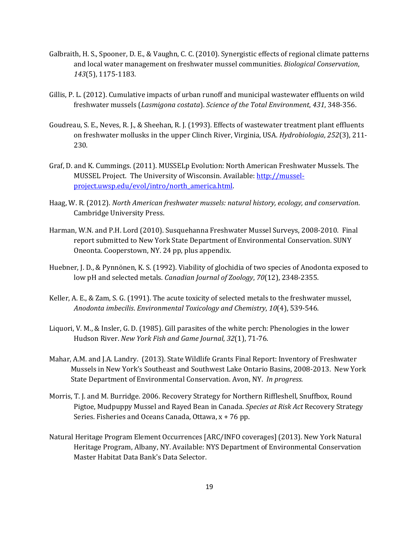- Galbraith, H. S., Spooner, D. E., & Vaughn, C. C. (2010). Synergistic effects of regional climate patterns and local water management on freshwater mussel communities. *Biological Conservation*, *143*(5), 1175-1183.
- Gillis, P. L. (2012). Cumulative impacts of urban runoff and municipal wastewater effluents on wild freshwater mussels (*Lasmigona costata*). *Science of the Total Environment*, *431*, 348-356.
- Goudreau, S. E., Neves, R. J., & Sheehan, R. J. (1993). Effects of wastewater treatment plant effluents on freshwater mollusks in the upper Clinch River, Virginia, USA. *Hydrobiologia*, *252*(3), 211- 230.
- Graf, D. and K. Cummings. (2011). MUSSELp Evolution: North American Freshwater Mussels. The MUSSEL Project. The University of Wisconsin. Available: [http://mussel](http://mussel-project.uwsp.edu/evol/intro/north_america.html)[project.uwsp.edu/evol/intro/north\\_america.html.](http://mussel-project.uwsp.edu/evol/intro/north_america.html)
- Haag, W. R. (2012). *North American freshwater mussels: natural history, ecology, and conservation*. Cambridge University Press.
- Harman, W.N. and P.H. Lord (2010). Susquehanna Freshwater Mussel Surveys, 2008-2010. Final report submitted to New York State Department of Environmental Conservation. SUNY Oneonta. Cooperstown, NY. 24 pp, plus appendix.
- Huebner, J. D., & Pynnönen, K. S. (1992). Viability of glochidia of two species of Anodonta exposed to low pH and selected metals. *Canadian Journal of Zoology*, *70*(12), 2348-2355.
- Keller, A. E., & Zam, S. G. (1991). The acute toxicity of selected metals to the freshwater mussel, *Anodonta imbecilis*. *Environmental Toxicology and Chemistry*, *10*(4), 539-546.
- Liquori, V. M., & Insler, G. D. (1985). Gill parasites of the white perch: Phenologies in the lower Hudson River. *New York Fish and Game Journal*, *32*(1), 71-76.
- Mahar, A.M. and J.A. Landry. (2013). State Wildlife Grants Final Report: Inventory of Freshwater Mussels in New York's Southeast and Southwest Lake Ontario Basins, 2008-2013. New York State Department of Environmental Conservation. Avon, NY. *In progress*.
- Morris, T. J. and M. Burridge. 2006. Recovery Strategy for Northern Riffleshell, Snuffbox, Round Pigtoe, Mudpuppy Mussel and Rayed Bean in Canada. *Species at Risk Act* Recovery Strategy Series. Fisheries and Oceans Canada, Ottawa, x + 76 pp.
- Natural Heritage Program Element Occurrences [ARC/INFO coverages] (2013). New York Natural Heritage Program, Albany, NY. Available: NYS Department of Environmental Conservation Master Habitat Data Bank's Data Selector.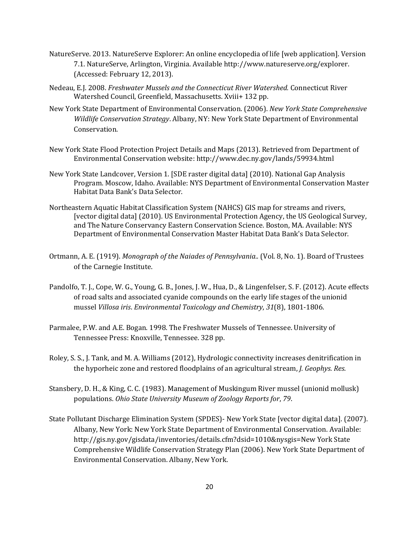- NatureServe. 2013. NatureServe Explorer: An online encyclopedia of life [web application]. Version 7.1. NatureServe, Arlington, Virginia. Available http://www.natureserve.org/explorer. (Accessed: February 12, 2013).
- Nedeau, E.J. 2008. *Freshwater Mussels and the Connecticut River Watershed.* Connecticut River Watershed Council, Greenfield, Massachusetts. Xviii+ 132 pp.
- New York State Department of Environmental Conservation. (2006). *New York State Comprehensive Wildlife Conservation Strategy*. Albany, NY: New York State Department of Environmental Conservation.
- New York State Flood Protection Project Details and Maps (2013). Retrieved from Department of Environmental Conservation website: http://www.dec.ny.gov/lands/59934.html
- New York State Landcover, Version 1. [SDE raster digital data] (2010). National Gap Analysis Program. Moscow, Idaho. Available: NYS Department of Environmental Conservation Master Habitat Data Bank's Data Selector.
- Northeastern Aquatic Habitat Classification System (NAHCS) GIS map for streams and rivers, [vector digital data] (2010). US Environmental Protection Agency, the US Geological Survey, and The Nature Conservancy Eastern Conservation Science. Boston, MA. Available: NYS Department of Environmental Conservation Master Habitat Data Bank's Data Selector.
- Ortmann, A. E. (1919). *Monograph of the Naiades of Pennsylvania..* (Vol. 8, No. 1). Board of Trustees of the Carnegie Institute.
- Pandolfo, T. J., Cope, W. G., Young, G. B., Jones, J. W., Hua, D., & Lingenfelser, S. F. (2012). Acute effects of road salts and associated cyanide compounds on the early life stages of the unionid mussel *Villosa iris*. *Environmental Toxicology and Chemistry*, *31*(8), 1801-1806.
- Parmalee, P.W. and A.E. Bogan. 1998. The Freshwater Mussels of Tennessee. University of Tennessee Press: Knoxville, Tennessee. 328 pp.
- Roley, S. S., J. Tank, and M. A. Williams (2012), Hydrologic connectivity increases denitrification in the hyporheic zone and restored floodplains of an agricultural stream, *J. Geophys. Res.*
- Stansbery, D. H., & King, C. C. (1983). Management of Muskingum River mussel (unionid mollusk) populations. *Ohio State University Museum of Zoology Reports for*, *79*.
- State Pollutant Discharge Elimination System (SPDES)- New York State [vector digital data]. (2007). Albany, New York: New York State Department of Environmental Conservation. Available: http://gis.ny.gov/gisdata/inventories/details.cfm?dsid=1010&nysgis=New York State Comprehensive Wildlife Conservation Strategy Plan (2006). New York State Department of Environmental Conservation. Albany, New York.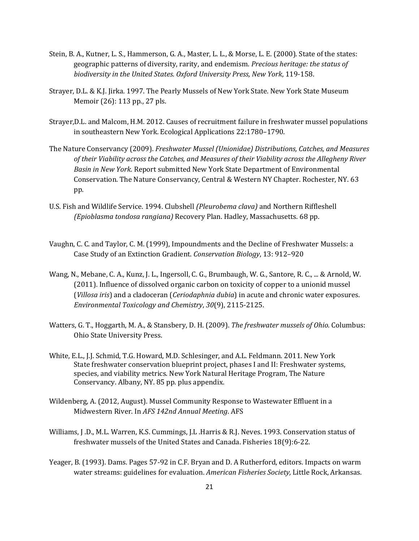- Stein, B. A., Kutner, L. S., Hammerson, G. A., Master, L. L., & Morse, L. E. (2000). State of the states: geographic patterns of diversity, rarity, and endemism. *Precious heritage: the status of biodiversity in the United States. Oxford University Press, New York*, 119-158.
- Strayer, D.L. & K.J. Jirka. 1997. The Pearly Mussels of New York State. New York State Museum Memoir (26): 113 pp., 27 pls.
- Strayer,D.L. and Malcom, H.M. 2012. Causes of recruitment failure in freshwater mussel populations in southeastern New York. Ecological Applications 22:1780–1790.
- The Nature Conservancy (2009). *Freshwater Mussel (Unionidae) Distributions, Catches, and Measures of their Viability across the Catches, and Measures of their Viability across the Allegheny River Basin in New York.* Report submitted New York State Department of Environmental Conservation. The Nature Conservancy, Central & Western NY Chapter. Rochester, NY. 63 pp.
- U.S. Fish and Wildlife Service. 1994. Clubshell *(Pleurobema clava)* and Northern Riffleshell *(Epioblasma tondosa rangiana)* Recovery Plan. Hadley, Massachusetts. 68 pp.
- Vaughn, C. C. and Taylor, C. M. (1999), Impoundments and the Decline of Freshwater Mussels: a Case Study of an Extinction Gradient. *Conservation Biology*, 13: 912–920
- Wang, N., Mebane, C. A., Kunz, J. L., Ingersoll, C. G., Brumbaugh, W. G., Santore, R. C., ... & Arnold, W. (2011). Influence of dissolved organic carbon on toxicity of copper to a unionid mussel (*Villosa iris*) and a cladoceran (*Ceriodaphnia dubia*) in acute and chronic water exposures. *Environmental Toxicology and Chemistry*, *30*(9), 2115-2125.
- Watters, G. T., Hoggarth, M. A., & Stansbery, D. H. (2009). *The freshwater mussels of Ohio*. Columbus: Ohio State University Press.
- White, E.L., J.J. Schmid, T.G. Howard, M.D. Schlesinger, and A.L. Feldmann. 2011. New York State freshwater conservation blueprint project, phases I and II: Freshwater systems, species, and viability metrics. New York Natural Heritage Program, The Nature Conservancy. Albany, NY. 85 pp. plus appendix.
- Wildenberg, A. (2012, August). Mussel Community Response to Wastewater Effluent in a Midwestern River. In *AFS 142nd Annual Meeting*. AFS
- Williams, J .D., M.L. Warren, K.S. Cummings, J.L .Harris & R.J. Neves. 1993. Conservation status of freshwater mussels of the United States and Canada. Fisheries 18(9):6-22.
- Yeager, B. (1993). Dams. Pages 57-92 in C.F. Bryan and D. A Rutherford, editors. Impacts on warm water streams: guidelines for evaluation. *American Fisheries Society,* Little Rock, Arkansas.